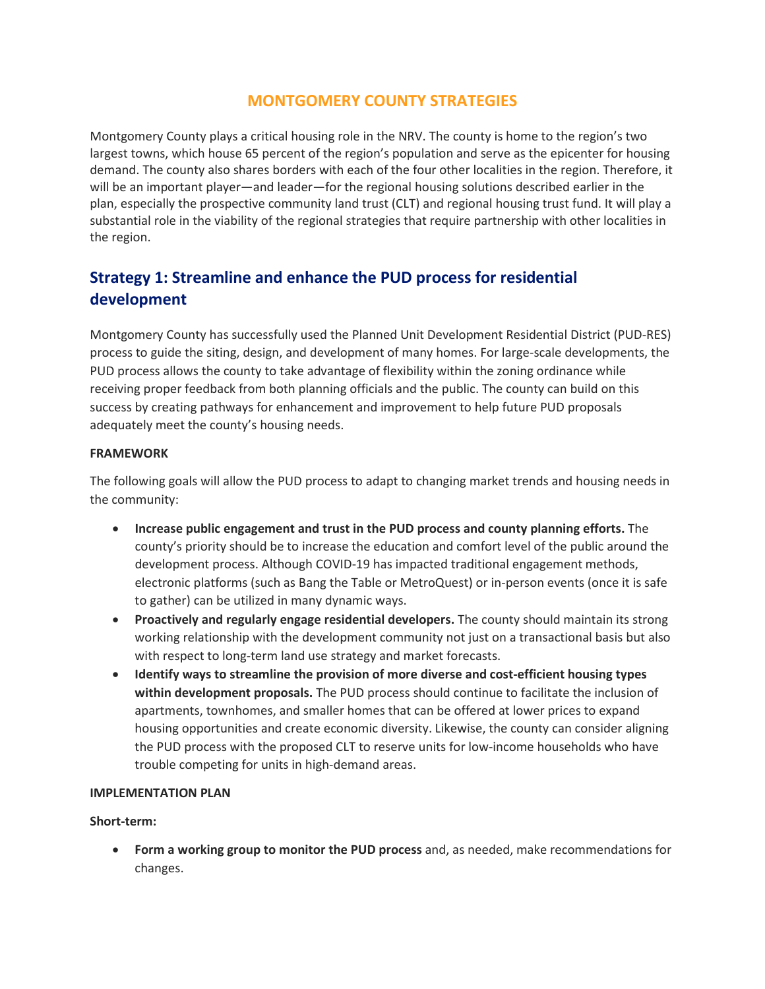# **MONTGOMERY COUNTY STRATEGIES**

Montgomery County plays a critical housing role in the NRV. The county is home to the region's two largest towns, which house 65 percent of the region's population and serve as the epicenter for housing demand. The county also shares borders with each of the four other localities in the region. Therefore, it will be an important player—and leader—for the regional housing solutions described earlier in the plan, especially the prospective community land trust (CLT) and regional housing trust fund. It will play a substantial role in the viability of the regional strategies that require partnership with other localities in the region.

# **Strategy 1: Streamline and enhance the PUD process for residential development**

Montgomery County has successfully used the Planned Unit Development Residential District (PUD-RES) process to guide the siting, design, and development of many homes. For large-scale developments, the PUD process allows the county to take advantage of flexibility within the zoning ordinance while receiving proper feedback from both planning officials and the public. The county can build on this success by creating pathways for enhancement and improvement to help future PUD proposals adequately meet the county's housing needs.

## **FRAMEWORK**

The following goals will allow the PUD process to adapt to changing market trends and housing needs in the community:

- **Increase public engagement and trust in the PUD process and county planning efforts.** The county's priority should be to increase the education and comfort level of the public around the development process. Although COVID-19 has impacted traditional engagement methods, electronic platforms (such as Bang the Table or MetroQuest) or in-person events (once it is safe to gather) can be utilized in many dynamic ways.
- **Proactively and regularly engage residential developers.** The county should maintain its strong working relationship with the development community not just on a transactional basis but also with respect to long-term land use strategy and market forecasts.
- **Identify ways to streamline the provision of more diverse and cost-efficient housing types within development proposals.** The PUD process should continue to facilitate the inclusion of apartments, townhomes, and smaller homes that can be offered at lower prices to expand housing opportunities and create economic diversity. Likewise, the county can consider aligning the PUD process with the proposed CLT to reserve units for low-income households who have trouble competing for units in high-demand areas.

### **IMPLEMENTATION PLAN**

### **Short-term:**

• **Form a working group to monitor the PUD process** and, as needed, make recommendations for changes.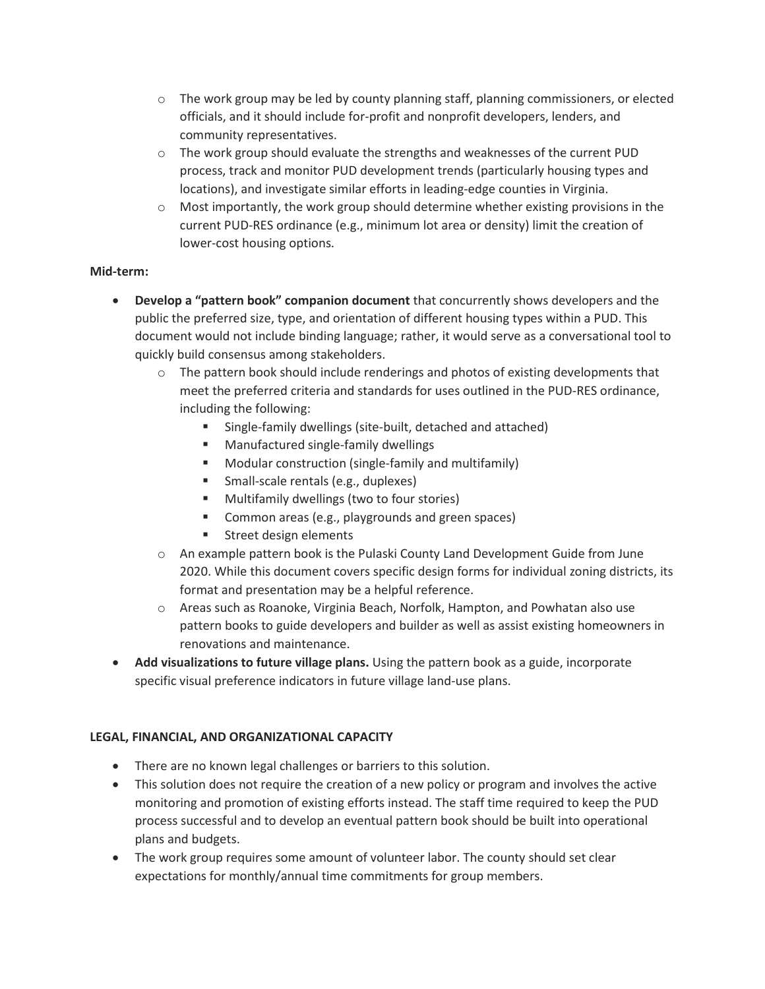- $\circ$  The work group may be led by county planning staff, planning commissioners, or elected officials, and it should include for-profit and nonprofit developers, lenders, and community representatives.
- $\circ$  The work group should evaluate the strengths and weaknesses of the current PUD process, track and monitor PUD development trends (particularly housing types and locations), and investigate similar efforts in leading-edge counties in Virginia.
- $\circ$  Most importantly, the work group should determine whether existing provisions in the current PUD-RES ordinance (e.g., minimum lot area or density) limit the creation of lower-cost housing options.

# **Mid-term:**

- **Develop a "pattern book" companion document** that concurrently shows developers and the public the preferred size, type, and orientation of different housing types within a PUD. This document would not include binding language; rather, it would serve as a conversational tool to quickly build consensus among stakeholders.
	- $\circ$  The pattern book should include renderings and photos of existing developments that meet the preferred criteria and standards for uses outlined in the PUD-RES ordinance, including the following:
		- Single-family dwellings (site-built, detached and attached)
		- **Manufactured single-family dwellings**
		- Modular construction (single-family and multifamily)
		- **Small-scale rentals (e.g., duplexes)**
		- **Multifamily dwellings (two to four stories)**
		- **EXECOMMON FIGURE:** Common areas (e.g., playgrounds and green spaces)
		- **Street design elements**
	- o An example pattern book is the Pulaski County Land Development Guide from June 2020. While this document covers specific design forms for individual zoning districts, its format and presentation may be a helpful reference.
	- o Areas such as Roanoke, Virginia Beach, Norfolk, Hampton, and Powhatan also use pattern books to guide developers and builder as well as assist existing homeowners in renovations and maintenance.
- **Add visualizations to future village plans.** Using the pattern book as a guide, incorporate specific visual preference indicators in future village land-use plans.

# **LEGAL, FINANCIAL, AND ORGANIZATIONAL CAPACITY**

- There are no known legal challenges or barriers to this solution.
- This solution does not require the creation of a new policy or program and involves the active monitoring and promotion of existing efforts instead. The staff time required to keep the PUD process successful and to develop an eventual pattern book should be built into operational plans and budgets.
- The work group requires some amount of volunteer labor. The county should set clear expectations for monthly/annual time commitments for group members.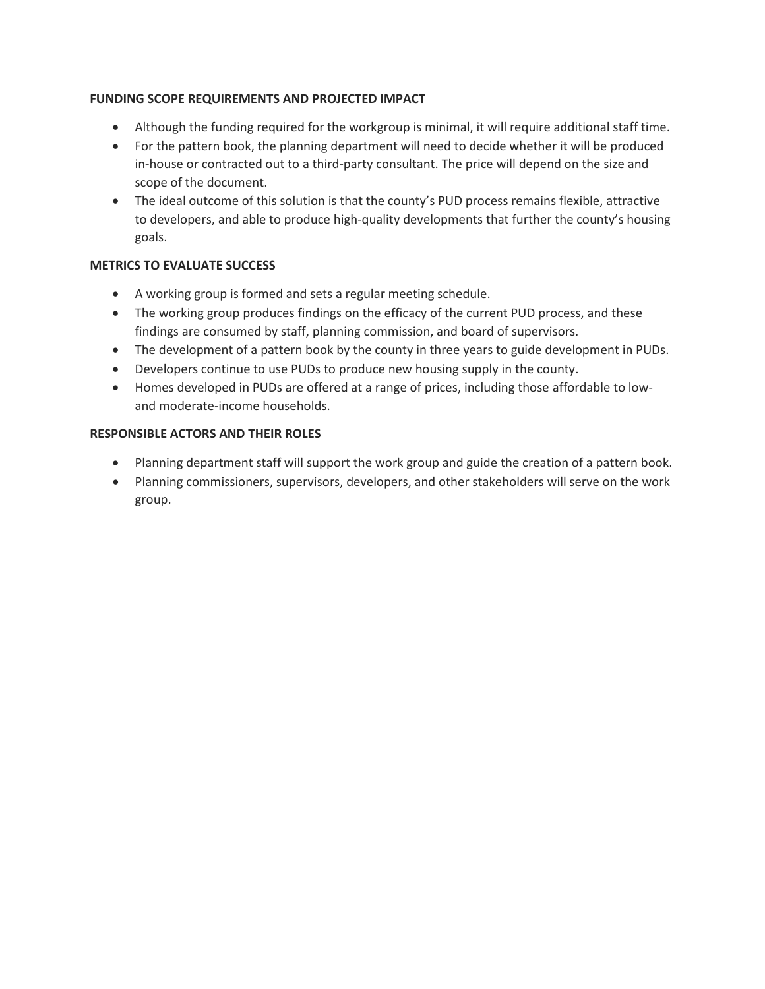## **FUNDING SCOPE REQUIREMENTS AND PROJECTED IMPACT**

- Although the funding required for the workgroup is minimal, it will require additional staff time.
- For the pattern book, the planning department will need to decide whether it will be produced in-house or contracted out to a third-party consultant. The price will depend on the size and scope of the document.
- The ideal outcome of this solution is that the county's PUD process remains flexible, attractive to developers, and able to produce high-quality developments that further the county's housing goals.

## **METRICS TO EVALUATE SUCCESS**

- A working group is formed and sets a regular meeting schedule.
- The working group produces findings on the efficacy of the current PUD process, and these findings are consumed by staff, planning commission, and board of supervisors.
- The development of a pattern book by the county in three years to guide development in PUDs.
- Developers continue to use PUDs to produce new housing supply in the county.
- Homes developed in PUDs are offered at a range of prices, including those affordable to lowand moderate-income households.

### **RESPONSIBLE ACTORS AND THEIR ROLES**

- Planning department staff will support the work group and guide the creation of a pattern book.
- Planning commissioners, supervisors, developers, and other stakeholders will serve on the work group.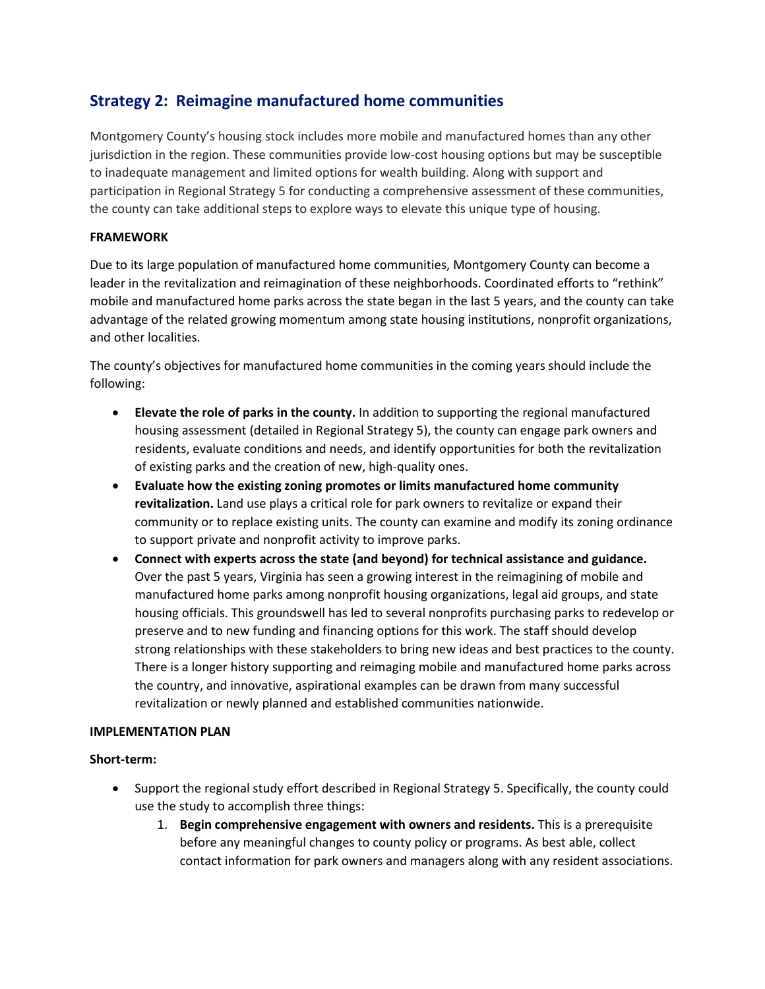# **Strategy 2: Reimagine manufactured home communities**

Montgomery County's housing stock includes more mobile and manufactured homes than any other jurisdiction in the region. These communities provide low-cost housing options but may be susceptible to inadequate management and limited options for wealth building. Along with support and participation in Regional Strategy 5 for conducting a comprehensive assessment of these communities, the county can take additional steps to explore ways to elevate this unique type of housing.

# **FRAMEWORK**

Due to its large population of manufactured home communities, Montgomery County can become a leader in the revitalization and reimagination of these neighborhoods. Coordinated efforts to "rethink" mobile and manufactured home parks across the state began in the last 5 years, and the county can take advantage of the related growing momentum among state housing institutions, nonprofit organizations, and other localities.

The county's objectives for manufactured home communities in the coming years should include the following:

- **Elevate the role of parks in the county.** In addition to supporting the regional manufactured housing assessment (detailed in Regional Strategy 5), the county can engage park owners and residents, evaluate conditions and needs, and identify opportunities for both the revitalization of existing parks and the creation of new, high-quality ones.
- **Evaluate how the existing zoning promotes or limits manufactured home community revitalization.** Land use plays a critical role for park owners to revitalize or expand their community or to replace existing units. The county can examine and modify its zoning ordinance to support private and nonprofit activity to improve parks.
- **Connect with experts across the state (and beyond) for technical assistance and guidance.**  Over the past 5 years, Virginia has seen a growing interest in the reimagining of mobile and manufactured home parks among nonprofit housing organizations, legal aid groups, and state housing officials. This groundswell has led to several nonprofits purchasing parks to redevelop or preserve and to new funding and financing options for this work. The staff should develop strong relationships with these stakeholders to bring new ideas and best practices to the county. There is a longer history supporting and reimaging mobile and manufactured home parks across the country, and innovative, aspirational examples can be drawn from many successful revitalization or newly planned and established communities nationwide.

### **IMPLEMENTATION PLAN**

### **Short-term:**

- Support the regional study effort described in Regional Strategy 5. Specifically, the county could use the study to accomplish three things:
	- 1. **Begin comprehensive engagement with owners and residents.** This is a prerequisite before any meaningful changes to county policy or programs. As best able, collect contact information for park owners and managers along with any resident associations.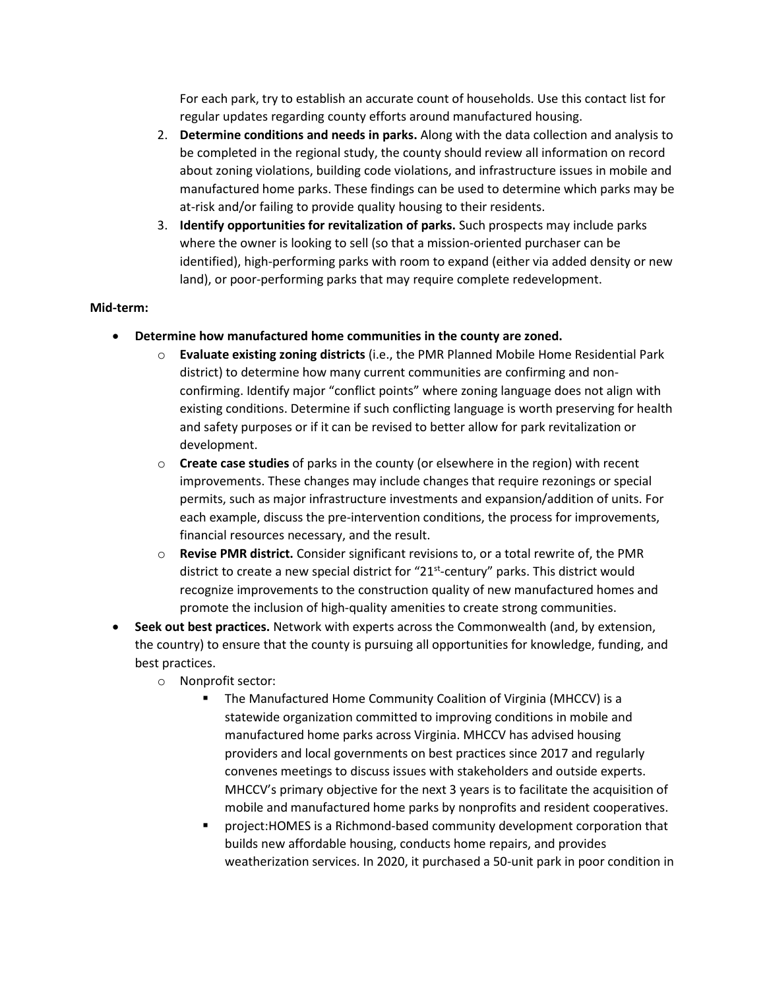For each park, try to establish an accurate count of households. Use this contact list for regular updates regarding county efforts around manufactured housing.

- 2. **Determine conditions and needs in parks.** Along with the data collection and analysis to be completed in the regional study, the county should review all information on record about zoning violations, building code violations, and infrastructure issues in mobile and manufactured home parks. These findings can be used to determine which parks may be at-risk and/or failing to provide quality housing to their residents.
- 3. **Identify opportunities for revitalization of parks.** Such prospects may include parks where the owner is looking to sell (so that a mission-oriented purchaser can be identified), high-performing parks with room to expand (either via added density or new land), or poor-performing parks that may require complete redevelopment.

## **Mid-term:**

- **Determine how manufactured home communities in the county are zoned.**
	- o **Evaluate existing zoning districts** (i.e., the PMR Planned Mobile Home Residential Park district) to determine how many current communities are confirming and nonconfirming. Identify major "conflict points" where zoning language does not align with existing conditions. Determine if such conflicting language is worth preserving for health and safety purposes or if it can be revised to better allow for park revitalization or development.
	- o **Create case studies** of parks in the county (or elsewhere in the region) with recent improvements. These changes may include changes that require rezonings or special permits, such as major infrastructure investments and expansion/addition of units. For each example, discuss the pre-intervention conditions, the process for improvements, financial resources necessary, and the result.
	- o **Revise PMR district.** Consider significant revisions to, or a total rewrite of, the PMR district to create a new special district for " $21<sup>st</sup>$ -century" parks. This district would recognize improvements to the construction quality of new manufactured homes and promote the inclusion of high-quality amenities to create strong communities.
- **Seek out best practices.** Network with experts across the Commonwealth (and, by extension, the country) to ensure that the county is pursuing all opportunities for knowledge, funding, and best practices.
	- o Nonprofit sector:
		- **The Manufactured Home Community Coalition of Virginia (MHCCV) is a** statewide organization committed to improving conditions in mobile and manufactured home parks across Virginia. MHCCV has advised housing providers and local governments on best practices since 2017 and regularly convenes meetings to discuss issues with stakeholders and outside experts. MHCCV's primary objective for the next 3 years is to facilitate the acquisition of mobile and manufactured home parks by nonprofits and resident cooperatives.
		- project:HOMES is a Richmond-based community development corporation that builds new affordable housing, conducts home repairs, and provides weatherization services. In 2020, it purchased a 50-unit park in poor condition in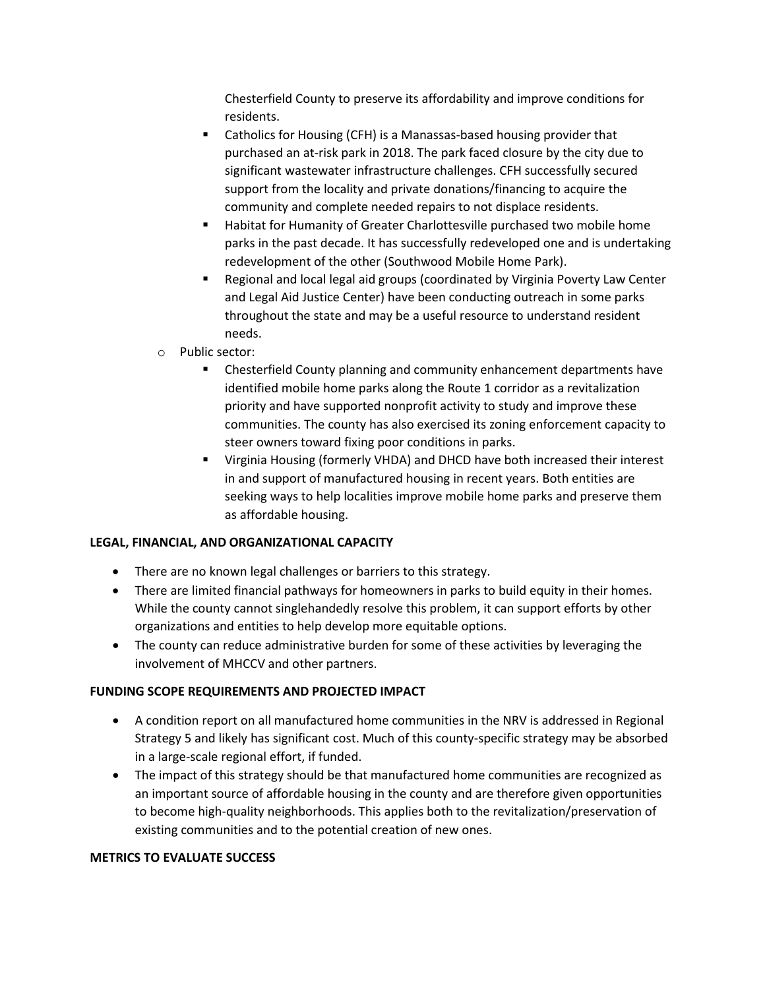Chesterfield County to preserve its affordability and improve conditions for residents.

- **EXECT** Catholics for Housing (CFH) is a Manassas-based housing provider that purchased an at-risk park in 2018. The park faced closure by the city due to significant wastewater infrastructure challenges. CFH successfully secured support from the locality and private donations/financing to acquire the community and complete needed repairs to not displace residents.
- Habitat for Humanity of Greater Charlottesville purchased two mobile home parks in the past decade. It has successfully redeveloped one and is undertaking redevelopment of the other (Southwood Mobile Home Park).
- Regional and local legal aid groups (coordinated by Virginia Poverty Law Center and Legal Aid Justice Center) have been conducting outreach in some parks throughout the state and may be a useful resource to understand resident needs.
- o Public sector:
	- Chesterfield County planning and community enhancement departments have identified mobile home parks along the Route 1 corridor as a revitalization priority and have supported nonprofit activity to study and improve these communities. The county has also exercised its zoning enforcement capacity to steer owners toward fixing poor conditions in parks.
	- Virginia Housing (formerly VHDA) and DHCD have both increased their interest in and support of manufactured housing in recent years. Both entities are seeking ways to help localities improve mobile home parks and preserve them as affordable housing.

# **LEGAL, FINANCIAL, AND ORGANIZATIONAL CAPACITY**

- There are no known legal challenges or barriers to this strategy.
- There are limited financial pathways for homeowners in parks to build equity in their homes. While the county cannot singlehandedly resolve this problem, it can support efforts by other organizations and entities to help develop more equitable options.
- The county can reduce administrative burden for some of these activities by leveraging the involvement of MHCCV and other partners.

### **FUNDING SCOPE REQUIREMENTS AND PROJECTED IMPACT**

- A condition report on all manufactured home communities in the NRV is addressed in Regional Strategy 5 and likely has significant cost. Much of this county-specific strategy may be absorbed in a large-scale regional effort, if funded.
- The impact of this strategy should be that manufactured home communities are recognized as an important source of affordable housing in the county and are therefore given opportunities to become high-quality neighborhoods. This applies both to the revitalization/preservation of existing communities and to the potential creation of new ones.

### **METRICS TO EVALUATE SUCCESS**